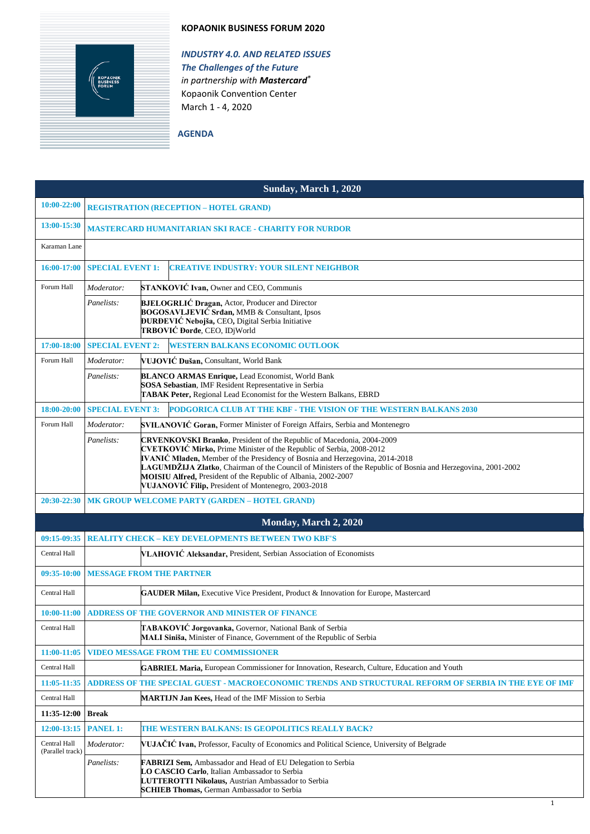## **KOPAONIK BUSINESS FORUM 2020**



*INDUSTRY 4.0. AND RELATED ISSUES The Challenges of the Future in partnership with Mastercard®* Kopaonik Convention Center March 1 - 4, 2020

**AGENDA**

| Sunday, March 1, 2020            |                                                                           |                                                                                                                                                                                                                                                                                                                                                                                                                                                                                              |  |  |
|----------------------------------|---------------------------------------------------------------------------|----------------------------------------------------------------------------------------------------------------------------------------------------------------------------------------------------------------------------------------------------------------------------------------------------------------------------------------------------------------------------------------------------------------------------------------------------------------------------------------------|--|--|
| 10:00-22:00                      | <b>REGISTRATION (RECEPTION - HOTEL GRAND)</b>                             |                                                                                                                                                                                                                                                                                                                                                                                                                                                                                              |  |  |
| 13:00-15:30                      | <b>MASTERCARD HUMANITARIAN SKI RACE - CHARITY FOR NURDOR</b>              |                                                                                                                                                                                                                                                                                                                                                                                                                                                                                              |  |  |
| Karaman Lane                     |                                                                           |                                                                                                                                                                                                                                                                                                                                                                                                                                                                                              |  |  |
| 16:00-17:00                      | <b>SPECIAL EVENT 1:</b><br><b>CREATIVE INDUSTRY: YOUR SILENT NEIGHBOR</b> |                                                                                                                                                                                                                                                                                                                                                                                                                                                                                              |  |  |
| Forum Hall                       | Moderator:                                                                | <b>STANKOVIĆ Ivan, Owner and CEO, Communis</b>                                                                                                                                                                                                                                                                                                                                                                                                                                               |  |  |
|                                  | Panelists:                                                                | <b>BJELOGRLIĆ Dragan, Actor, Producer and Director</b><br><b>BOGOSAVLJEVIĆ Srđan, MMB &amp; Consultant, Ipsos</b><br>ĐURĐEVIĆ Nebojša, CEO, Digital Serbia Initiative<br>TRBOVIĆ Đorđe, CEO, IDjWorld                                                                                                                                                                                                                                                                                        |  |  |
| 17:00-18:00                      | <b>SPECIAL EVENT 2:</b>                                                   | <b>WESTERN BALKANS ECONOMIC OUTLOOK</b>                                                                                                                                                                                                                                                                                                                                                                                                                                                      |  |  |
| Forum Hall                       | Moderator:                                                                | VUJOVIĆ Dušan, Consultant, World Bank                                                                                                                                                                                                                                                                                                                                                                                                                                                        |  |  |
|                                  | Panelists:                                                                | <b>BLANCO ARMAS Enrique, Lead Economist, World Bank</b><br>SOSA Sebastian, IMF Resident Representative in Serbia<br>TABAK Peter, Regional Lead Economist for the Western Balkans, EBRD                                                                                                                                                                                                                                                                                                       |  |  |
| 18:00-20:00                      | <b>SPECIAL EVENT 3:</b>                                                   | PODGORICA CLUB AT THE KBF - THE VISION OF THE WESTERN BALKANS 2030                                                                                                                                                                                                                                                                                                                                                                                                                           |  |  |
| Forum Hall                       | Moderator:                                                                | <b>SVILANOVIĆ Goran, Former Minister of Foreign Affairs, Serbia and Montenegro</b>                                                                                                                                                                                                                                                                                                                                                                                                           |  |  |
|                                  | Panelists:                                                                | <b>CRVENKOVSKI Branko</b> , President of the Republic of Macedonia, 2004-2009<br><b>CVETKOVIĆ Mirko, Prime Minister of the Republic of Serbia, 2008-2012</b><br><b>IVANIC Mladen, Member of the Presidency of Bosnia and Herzegovina, 2014-2018</b><br>LAGUMDŽIJA Zlatko, Chairman of the Council of Ministers of the Republic of Bosnia and Herzegovina, 2001-2002<br>MOISIU Alfred, President of the Republic of Albania, 2002-2007<br>VUJANOVIĆ Filip, President of Montenegro, 2003-2018 |  |  |
| 20:30-22:30                      |                                                                           | MK GROUP WELCOME PARTY (GARDEN - HOTEL GRAND)                                                                                                                                                                                                                                                                                                                                                                                                                                                |  |  |
|                                  |                                                                           | Monday, March 2, 2020                                                                                                                                                                                                                                                                                                                                                                                                                                                                        |  |  |
| 09:15-09:35                      |                                                                           | <b>REALITY CHECK - KEY DEVELOPMENTS BETWEEN TWO KBF'S</b>                                                                                                                                                                                                                                                                                                                                                                                                                                    |  |  |
| Central Hall                     |                                                                           | VLAHOVIĆ Aleksandar, President, Serbian Association of Economists                                                                                                                                                                                                                                                                                                                                                                                                                            |  |  |
| 09:35-10:00                      |                                                                           | <b>MESSAGE FROM THE PARTNER</b>                                                                                                                                                                                                                                                                                                                                                                                                                                                              |  |  |
| Central Hall                     |                                                                           | <b>GAUDER Milan, Executive Vice President, Product &amp; Innovation for Europe, Mastercard</b>                                                                                                                                                                                                                                                                                                                                                                                               |  |  |
|                                  |                                                                           | 10:00-11:00 ADDRESS OF THE GOVERNOR AND MINISTER OF FINANCE                                                                                                                                                                                                                                                                                                                                                                                                                                  |  |  |
| Central Hall                     |                                                                           | TABAKOVIĆ Jorgovanka, Governor, National Bank of Serbia<br>MALI Siniša, Minister of Finance, Government of the Republic of Serbia                                                                                                                                                                                                                                                                                                                                                            |  |  |
| 11:00-11:05                      |                                                                           | <b>VIDEO MESSAGE FROM THE EU COMMISSIONER</b>                                                                                                                                                                                                                                                                                                                                                                                                                                                |  |  |
| Central Hall                     |                                                                           | <b>GABRIEL Maria, European Commissioner for Innovation, Research, Culture, Education and Youth</b>                                                                                                                                                                                                                                                                                                                                                                                           |  |  |
| 11:05-11:35                      |                                                                           | ADDRESS OF THE SPECIAL GUEST - MACROECONOMIC TRENDS AND STRUCTURAL REFORM OF SERBIA IN THE EYE OF IMF                                                                                                                                                                                                                                                                                                                                                                                        |  |  |
| Central Hall                     |                                                                           | MARTIJN Jan Kees, Head of the IMF Mission to Serbia                                                                                                                                                                                                                                                                                                                                                                                                                                          |  |  |
| 11:35-12:00                      | <b>Break</b>                                                              |                                                                                                                                                                                                                                                                                                                                                                                                                                                                                              |  |  |
| 12:00-13:15                      | <b>PANEL 1:</b>                                                           | THE WESTERN BALKANS: IS GEOPOLITICS REALLY BACK?                                                                                                                                                                                                                                                                                                                                                                                                                                             |  |  |
| Central Hall<br>(Parallel track) | Moderator:                                                                | VUJAČIĆ Ivan, Professor, Faculty of Economics and Political Science, University of Belgrade                                                                                                                                                                                                                                                                                                                                                                                                  |  |  |
|                                  | Panelists:                                                                | FABRIZI Sem, Ambassador and Head of EU Delegation to Serbia<br>LO CASCIO Carlo, Italian Ambassador to Serbia<br>LUTTEROTTI Nikolaus, Austrian Ambassador to Serbia<br><b>SCHIEB Thomas, German Ambassador to Serbia</b>                                                                                                                                                                                                                                                                      |  |  |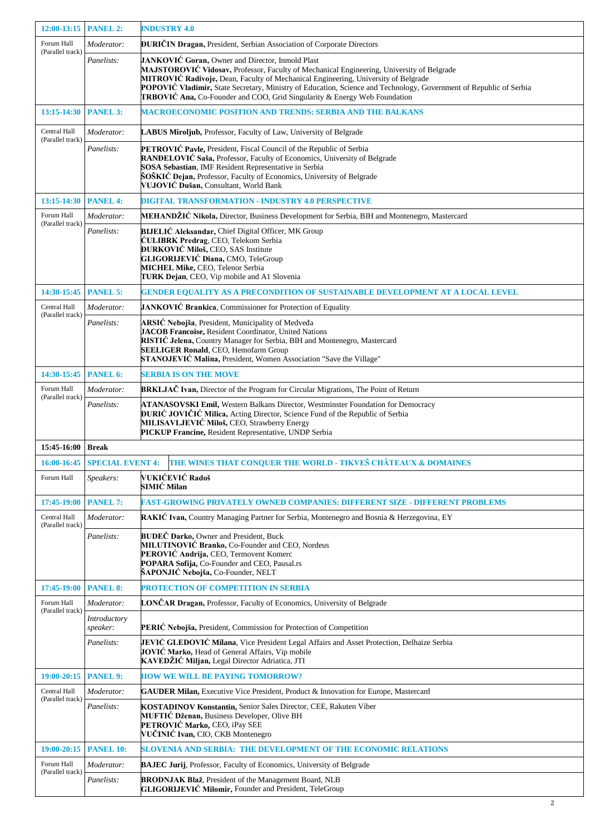| 12:00-13:15 PANEL 2:             |                              | <b>INDUSTRY 4.0</b>                                                                                                                                                                                                                                                                                                                                                                                                                               |  |
|----------------------------------|------------------------------|---------------------------------------------------------------------------------------------------------------------------------------------------------------------------------------------------------------------------------------------------------------------------------------------------------------------------------------------------------------------------------------------------------------------------------------------------|--|
| Forum Hall                       | Moderator:                   | <b>ĐURIČIN Dragan, President, Serbian Association of Corporate Directors</b>                                                                                                                                                                                                                                                                                                                                                                      |  |
| (Parallel track)                 | Panelists:                   | JANKOVIĆ Goran, Owner and Director, Inmold Plast<br>MAJSTOROVIĆ Vidosav, Professor, Faculty of Mechanical Engineering, University of Belgrade<br>MITROVIĆ Radivoje, Dean, Faculty of Mechanical Engineering, University of Belgrade<br>POPOVIĆ Vladimir, State Secretary, Ministry of Education, Science and Technology, Government of Republic of Serbia<br><b>TRBOVIĆ Ana, Co-Founder and COO, Grid Singularity &amp; Energy Web Foundation</b> |  |
| <b>PANEL 3:</b><br>13:15-14:30   |                              | <b>MACROECONOMIC POSITION AND TRENDS: SERBIA AND THE BALKANS</b>                                                                                                                                                                                                                                                                                                                                                                                  |  |
| Central Hall<br>(Parallel track) | Moderator:                   | LABUS Miroljub, Professor, Faculty of Law, University of Belgrade                                                                                                                                                                                                                                                                                                                                                                                 |  |
|                                  | Panelists:                   | PETROVIĆ Pavle, President, Fiscal Council of the Republic of Serbia<br>RANĐELOVIĆ Saša, Professor, Faculty of Economics, University of Belgrade<br>SOSA Sebastian, IMF Resident Representative in Serbia<br>ŠOŠKIĆ Dejan, Professor, Faculty of Economics, University of Belgrade<br>VUJOVIĆ Dušan, Consultant, World Bank                                                                                                                        |  |
| 13:15-14:30                      | <b>PANEL 4:</b>              | <b>DIGITAL TRANSFORMATION - INDUSTRY 4.0 PERSPECTIVE</b>                                                                                                                                                                                                                                                                                                                                                                                          |  |
| Forum Hall                       | Moderator:                   | MEHANDŽIĆ Nikola, Director, Business Development for Serbia, BIH and Montenegro, Mastercard                                                                                                                                                                                                                                                                                                                                                       |  |
| (Parallel track)                 | Panelists:                   | <b>BIJELIĆ Aleksandar, Chief Digital Officer, MK Group</b><br>ĆULIBRK Predrag, CEO, Telekom Serbia<br><b>DURKOVIĆ Miloš, CEO, SAS Institute</b><br>GLIGORIJEVIĆ Diana, CMO, TeleGroup<br>MICHEL Mike, CEO, Telenor Serbia<br><b>TURK Dejan, CEO, Vip mobile and A1 Slovenia</b>                                                                                                                                                                   |  |
| 14:30-15:45 PANEL 5:             |                              | <b>GENDER EQUALITY AS A PRECONDITION OF SUSTAINABLE DEVELOPMENT AT A LOCAL LEVEL</b>                                                                                                                                                                                                                                                                                                                                                              |  |
| Central Hall<br>(Parallel track) | Moderator:                   | <b>JANKOVIĆ Brankica, Commissioner for Protection of Equality</b>                                                                                                                                                                                                                                                                                                                                                                                 |  |
|                                  | Panelists:                   | ARSIĆ Nebojša, President, Municipality of Medveđa<br>JACOB Francoise, Resident Coordinator, United Nations<br>RISTIC Jelena, Country Manager for Serbia, BIH and Montenegro, Mastercard<br><b>SEELIGER Ronald, CEO, Hemofarm Group</b><br>STANOJEVIĆ Malina, President, Women Association "Save the Village"                                                                                                                                      |  |
| 14:30-15:45 PANEL 6:             |                              | <b>SERBIA IS ON THE MOVE</b>                                                                                                                                                                                                                                                                                                                                                                                                                      |  |
| Forum Hall                       | Moderator:                   | BRKLJAČ Ivan, Director of the Program for Circular Migrations, The Point of Return                                                                                                                                                                                                                                                                                                                                                                |  |
| (Parallel track)                 | Panelists:                   | ATANASOVSKI Emil, Western Balkans Director, Westminster Foundation for Democracy<br>ĐURIĆ JOVIČIĆ Milica, Acting Director, Science Fund of the Republic of Serbia<br>MILISAVLJEVIĆ Miloš, CEO, Strawberry Energy<br>PICKUP Francine, Resident Representative, UNDP Serbia                                                                                                                                                                         |  |
| 15:45-16:00   Break              |                              |                                                                                                                                                                                                                                                                                                                                                                                                                                                   |  |
|                                  | 16:00-16:45 SPECIAL EVENT 4: | THE WINES THAT CONQUER THE WORLD - TIKVEŠ CHÂTEAUX & DOMAINES                                                                                                                                                                                                                                                                                                                                                                                     |  |
| Forum Hall                       | Speakers:                    | <b>VUKIĆEVIĆ Radoš</b><br>SIMIĆ Milan                                                                                                                                                                                                                                                                                                                                                                                                             |  |
| 17:45-19:00                      | <b>PANEL 7:</b>              | FAST-GROWING PRIVATELY OWNED COMPANIES: DIFFERENT SIZE - DIFFERENT PROBLEMS                                                                                                                                                                                                                                                                                                                                                                       |  |
| Central Hall<br>(Parallel track) | Moderator:                   | RAKIC Ivan, Country Managing Partner for Serbia, Montenegro and Bosnia & Herzegovina, EY                                                                                                                                                                                                                                                                                                                                                          |  |
|                                  | Panelists:                   | <b>BUDEČ Darko, Owner and President, Buck</b><br>MILUTINOVIĆ Branko, Co-Founder and CEO, Nordeus<br>PEROVIĆ Andrija, CEO, Termovent Komerc<br>POPARA Sofija, Co-Founder and CEO, Pausal.rs<br>ŠAPONJIĆ Nebojša, Co-Founder, NELT                                                                                                                                                                                                                  |  |
| 17:45-19:00                      | <b>PANEL 8:</b>              | PROTECTION OF COMPETITION IN SERBIA                                                                                                                                                                                                                                                                                                                                                                                                               |  |
| Forum Hall<br>(Parallel track)   | Moderator:                   | LONČAR Dragan, Professor, Faculty of Economics, University of Belgrade                                                                                                                                                                                                                                                                                                                                                                            |  |
|                                  | Introductory<br>speaker:     | PERIĆ Nebojša, President, Commission for Protection of Competition                                                                                                                                                                                                                                                                                                                                                                                |  |
|                                  | Panelists:                   | JEVIĆ GLEDOVIĆ Milana, Vice President Legal Affairs and Asset Protection, Delhaize Serbia<br>JOVIĆ Marko, Head of General Affairs, Vip mobile<br>KAVEDŽIĆ Miljan, Legal Director Adriatica, JTI                                                                                                                                                                                                                                                   |  |
| 19:00-20:15                      | <b>PANEL 9:</b>              | <b>HOW WE WILL BE PAYING TOMORROW?</b>                                                                                                                                                                                                                                                                                                                                                                                                            |  |
| Central Hall                     | Moderator:                   | <b>GAUDER Milan, Executive Vice President, Product &amp; Innovation for Europe, Mastercard</b>                                                                                                                                                                                                                                                                                                                                                    |  |
| (Parallel track)                 | Panelists:                   | KOSTADINOV Konstantin, Senior Sales Director, CEE, Rakuten Viber<br>MUFTIĆ Dženan, Business Developer, Olive BH<br>PETROVIĆ Marko, CEO, iPay SEE<br>VUČINIĆ Ivan, CIO, CKB Montenegro                                                                                                                                                                                                                                                             |  |
| 19:00-20:15                      | <b>PANEL 10:</b>             | <b>SLOVENIA AND SERBIA: THE DEVELOPMENT OF THE ECONOMIC RELATIONS</b>                                                                                                                                                                                                                                                                                                                                                                             |  |
| Forum Hall<br>(Parallel track)   | Moderator:                   | <b>BAJEC Jurij, Professor, Faculty of Economics, University of Belgrade</b>                                                                                                                                                                                                                                                                                                                                                                       |  |
|                                  | Panelists:                   | <b>BRODNJAK Blaž</b> , President of the Management Board, NLB<br><b>GLIGORIJEVIĆ Milomir, Founder and President, TeleGroup</b>                                                                                                                                                                                                                                                                                                                    |  |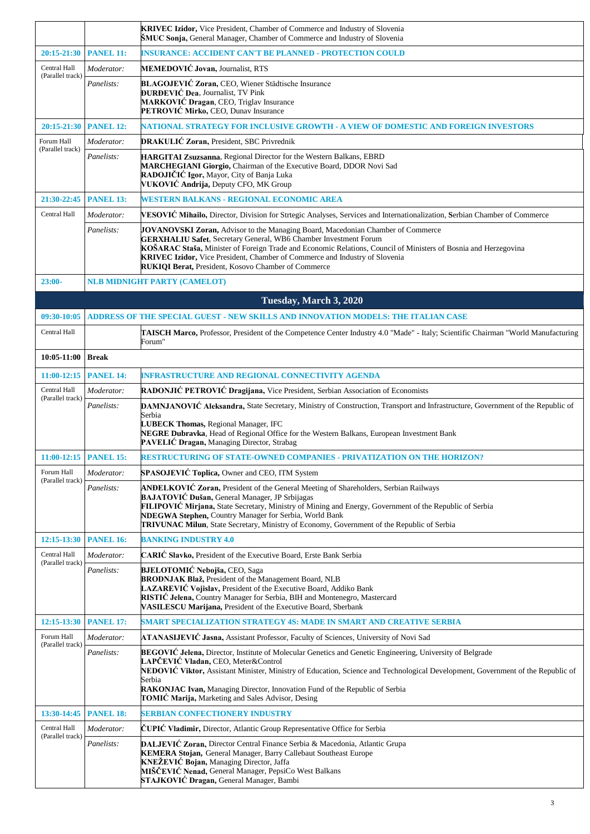|                                  | KRIVEC Izidor, Vice President, Chamber of Commerce and Industry of Slovenia<br><b>ŠMUC Sonja, General Manager, Chamber of Commerce and Industry of Slovenia</b> |                                                                                                                                                                                                                                                                                                                                                                                                                                    |  |  |
|----------------------------------|-----------------------------------------------------------------------------------------------------------------------------------------------------------------|------------------------------------------------------------------------------------------------------------------------------------------------------------------------------------------------------------------------------------------------------------------------------------------------------------------------------------------------------------------------------------------------------------------------------------|--|--|
| 20:15-21:30                      | <b>PANEL 11:</b>                                                                                                                                                | <b>INSURANCE: ACCIDENT CAN'T BE PLANNED - PROTECTION COULD</b>                                                                                                                                                                                                                                                                                                                                                                     |  |  |
| Central Hall                     | Moderator:                                                                                                                                                      | MEMEDOVIĆ Jovan, Journalist, RTS                                                                                                                                                                                                                                                                                                                                                                                                   |  |  |
| (Parallel track)                 | Panelists:                                                                                                                                                      | BLAGOJEVIĆ Zoran, CEO, Wiener Städtische Insurance<br><b>DURDEVIĆ Dea, Journalist, TV Pink</b><br>MARKOVIĆ Dragan, CEO, Triglav Insurance<br>PETROVIĆ Mirko, CEO, Dunav Insurance                                                                                                                                                                                                                                                  |  |  |
| 20:15-21:30                      | <b>PANEL 12:</b><br>NATIONAL STRATEGY FOR INCLUSIVE GROWTH - A VIEW OF DOMESTIC AND FOREIGN INVESTORS                                                           |                                                                                                                                                                                                                                                                                                                                                                                                                                    |  |  |
| Forum Hall<br>(Parallel track)   | Moderator:                                                                                                                                                      | DRAKULIĆ Zoran, President, SBC Privrednik                                                                                                                                                                                                                                                                                                                                                                                          |  |  |
|                                  | Panelists:                                                                                                                                                      | HARGITAI Zsuzsanna, Regional Director for the Western Balkans, EBRD<br>MARCHEGIANI Giorgio, Chairman of the Executive Board, DDOR Novi Sad<br>RADOJIČIĆ Igor, Mayor, City of Banja Luka<br>VUKOVIĆ Andrija, Deputy CFO, MK Group                                                                                                                                                                                                   |  |  |
| 21:30-22:45                      | <b>PANEL 13:</b>                                                                                                                                                | WESTERN BALKANS - REGIONAL ECONOMIC AREA                                                                                                                                                                                                                                                                                                                                                                                           |  |  |
| Central Hall                     | Moderator:                                                                                                                                                      | VESOVIĆ Mihailo, Director, Division for Strtegic Analyses, Services and Internationalization, Serbian Chamber of Commerce                                                                                                                                                                                                                                                                                                          |  |  |
|                                  | Panelists:                                                                                                                                                      | JOVANOVSKI Zoran, Advisor to the Managing Board, Macedonian Chamber of Commerce<br><b>GERXHALIU Safet</b> , Secretary General, WB6 Chamber Investment Forum<br>KOŠARAC Staša, Minister of Foreign Trade and Economic Relations, Council of Ministers of Bosnia and Herzegovina<br><b>KRIVEC Izidor, Vice President, Chamber of Commerce and Industry of Slovenia</b><br><b>RUKIOI Berat, President, Kosovo Chamber of Commerce</b> |  |  |
| $23:00-$                         |                                                                                                                                                                 | <b>NLB MIDNIGHT PARTY (CAMELOT)</b>                                                                                                                                                                                                                                                                                                                                                                                                |  |  |
|                                  |                                                                                                                                                                 | Tuesday, March 3, 2020                                                                                                                                                                                                                                                                                                                                                                                                             |  |  |
| 09:30-10:05                      |                                                                                                                                                                 | ADDRESS OF THE SPECIAL GUEST - NEW SKILLS AND INNOVATION MODELS: THE ITALIAN CASE                                                                                                                                                                                                                                                                                                                                                  |  |  |
| Central Hall                     |                                                                                                                                                                 | TAISCH Marco, Professor, President of the Competence Center Industry 4.0 "Made" - Italy; Scientific Chairman "World Manufacturing<br>Forum"                                                                                                                                                                                                                                                                                        |  |  |
| 10:05-11:00                      | <b>Break</b>                                                                                                                                                    |                                                                                                                                                                                                                                                                                                                                                                                                                                    |  |  |
| $11:00-12:15$                    | <b>PANEL 14:</b>                                                                                                                                                | <b>INFRASTRUCTURE AND REGIONAL CONNECTIVITY AGENDA</b>                                                                                                                                                                                                                                                                                                                                                                             |  |  |
| Central Hall<br>(Parallel track) | Moderator:                                                                                                                                                      | RADONJIĆ PETROVIĆ Dragijana, Vice President, Serbian Association of Economists                                                                                                                                                                                                                                                                                                                                                     |  |  |
|                                  | Panelists:                                                                                                                                                      | DAMNJANOVIĆ Aleksandra, State Secretary, Ministry of Construction, Transport and Infrastructure, Government of the Republic of<br>Serbia<br>LUBECK Thomas, Regional Manager, IFC<br>NEGRE Dubravka, Head of Regional Office for the Western Balkans, European Investment Bank<br>PAVELIĆ Dragan, Managing Director, Strabag                                                                                                        |  |  |
| 11:00-12:15 PANEL 15:            |                                                                                                                                                                 | RESTRUCTURING OF STATE-OWNED COMPANIES - PRIVATIZATION ON THE HORIZON?                                                                                                                                                                                                                                                                                                                                                             |  |  |
| Forum Hall<br>(Parallel track)   | Moderator:                                                                                                                                                      | <b>SPASOJEVIĆ Toplica, Owner and CEO, ITM System</b>                                                                                                                                                                                                                                                                                                                                                                               |  |  |
|                                  | Panelists:                                                                                                                                                      | <b>ANDELKOVIĆ Zoran, President of the General Meeting of Shareholders, Serbian Railways</b><br>BAJATOVIĆ Dušan, General Manager, JP Srbijagas<br>FILIPOVIĆ Mirjana, State Secretary, Ministry of Mining and Energy, Government of the Republic of Serbia<br>NDEGWA Stephen, Country Manager for Serbia, World Bank<br>TRIVUNAC Milun, State Secretary, Ministry of Economy, Government of the Republic of Serbia                   |  |  |
| 12:15-13:30                      | <b>PANEL 16:</b>                                                                                                                                                | <b>BANKING INDUSTRY 4.0</b>                                                                                                                                                                                                                                                                                                                                                                                                        |  |  |
| Central Hall<br>(Parallel track) | Moderator:                                                                                                                                                      | CARIĆ Slavko, President of the Executive Board, Erste Bank Serbia                                                                                                                                                                                                                                                                                                                                                                  |  |  |
|                                  | Panelists:                                                                                                                                                      | <b>BJELOTOMIĆ Nebojša, CEO, Saga</b><br><b>BRODNJAK Blaž, President of the Management Board, NLB</b><br>LAZAREVIĆ Vojislav, President of the Executive Board, Addiko Bank<br>RISTIC Jelena, Country Manager for Serbia, BIH and Montenegro, Mastercard<br>VASILESCU Marijana, President of the Executive Board, Sberbank                                                                                                           |  |  |
| 12:15-13:30                      | <b>PANEL 17:</b>                                                                                                                                                | SMART SPECIALIZATION STRATEGY 4S: MADE IN SMART AND CREATIVE SERBIA                                                                                                                                                                                                                                                                                                                                                                |  |  |
| Forum Hall<br>(Parallel track)   | Moderator:                                                                                                                                                      | ATANASIJEVIĆ Jasna, Assistant Professor, Faculty of Sciences, University of Novi Sad                                                                                                                                                                                                                                                                                                                                               |  |  |
|                                  | Panelists:                                                                                                                                                      | BEGOVIC Jelena, Director, Institute of Molecular Genetics and Genetic Engineering, University of Belgrade<br>LAPČEVIĆ Vladan, CEO, Meter&Control<br>NEDOVIC Viktor, Assistant Minister, Ministry of Education, Science and Technological Development, Government of the Republic of<br>Serbia<br>RAKONJAC Ivan, Managing Director, Innovation Fund of the Republic of Serbia<br>TOMIĆ Marija, Marketing and Sales Advisor, Desing  |  |  |
| 13:30-14:45                      | <b>PANEL 18:</b>                                                                                                                                                | <b>SERBIAN CONFECTIONERY INDUSTRY</b>                                                                                                                                                                                                                                                                                                                                                                                              |  |  |
| Central Hall<br>(Parallel track) | Moderator:                                                                                                                                                      | ČUPIĆ Vladimir, Director, Atlantic Group Representative Office for Serbia                                                                                                                                                                                                                                                                                                                                                          |  |  |
|                                  | Panelists:                                                                                                                                                      | DALJEVIĆ Zoran, Director Central Finance Serbia & Macedonia, Atlantic Grupa<br>KEMERA Stojan, General Manager, Barry Callebaut Southeast Europe<br>KNEŽEVIĆ Bojan, Managing Director, Jaffa<br>MIŠČEVIĆ Nenad, General Manager, PepsiCo West Balkans<br>STAJKOVIĆ Dragan, General Manager, Bambi                                                                                                                                   |  |  |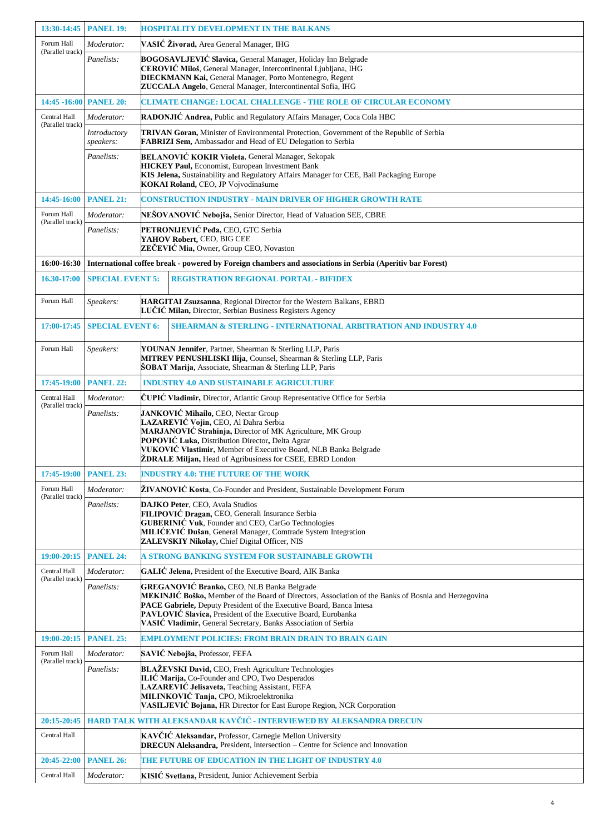| 13:30-14:45                      | <b>PANEL 19:</b>                                                                                          | <b>HOSPITALITY DEVELOPMENT IN THE BALKANS</b>                                                                                                                                                                                                                                                                                                                 |  |  |
|----------------------------------|-----------------------------------------------------------------------------------------------------------|---------------------------------------------------------------------------------------------------------------------------------------------------------------------------------------------------------------------------------------------------------------------------------------------------------------------------------------------------------------|--|--|
| Forum Hall                       | Moderator:                                                                                                | VASIĆ Živorad, Area General Manager, IHG                                                                                                                                                                                                                                                                                                                      |  |  |
| (Parallel track)                 | Panelists:                                                                                                | BOGOSAVLJEVIĆ Slavica, General Manager, Holiday Inn Belgrade<br>CEROVIĆ Miloš, General Manager, Intercontinental Ljubljana, IHG<br><b>DIECKMANN Kai, General Manager, Porto Montenegro, Regent</b><br>ZUCCALA Angelo, General Manager, Intercontinental Sofia, IHG                                                                                            |  |  |
| 14:45 -16:00                     | <b>PANEL 20:</b>                                                                                          | <b>CLIMATE CHANGE: LOCAL CHALLENGE - THE ROLE OF CIRCULAR ECONOMY</b>                                                                                                                                                                                                                                                                                         |  |  |
| Central Hall                     | Moderator:                                                                                                | RADONJIC Andrea, Public and Regulatory Affairs Manager, Coca Cola HBC                                                                                                                                                                                                                                                                                         |  |  |
| (Parallel track)                 | Introductory<br>speakers:                                                                                 | TRIVAN Goran, Minister of Environmental Protection, Government of the Republic of Serbia<br>FABRIZI Sem, Ambassador and Head of EU Delegation to Serbia                                                                                                                                                                                                       |  |  |
|                                  | Panelists:                                                                                                | <b>BELANOVIĆ KOKIR Violeta, General Manager, Sekopak</b><br><b>HICKEY Paul, Economist, European Investment Bank</b><br>KIS Jelena, Sustainability and Regulatory Affairs Manager for CEE, Ball Packaging Europe<br>KOKAI Roland, CEO, JP Vojvodinašume                                                                                                        |  |  |
| 14:45-16:00                      | <b>PANEL 21:</b>                                                                                          | CONSTRUCTION INDUSTRY - MAIN DRIVER OF HIGHER GROWTH RATE                                                                                                                                                                                                                                                                                                     |  |  |
| Forum Hall<br>(Parallel track)   | Moderator:                                                                                                | NEŠOVANOVIĆ Nebojša, Senior Director, Head of Valuation SEE, CBRE                                                                                                                                                                                                                                                                                             |  |  |
|                                  | Panelists:                                                                                                | PETRONIJEVIĆ Peđa, CEO, GTC Serbia<br>YAHOV Robert, CEO, BIG CEE<br>ZEČEVIĆ Mia, Owner, Group CEO, Novaston                                                                                                                                                                                                                                                   |  |  |
| 16:00-16:30                      | International coffee break - powered by Foreign chambers and associations in Serbia (Aperitiv bar Forest) |                                                                                                                                                                                                                                                                                                                                                               |  |  |
| 16.30-17:00                      | <b>SPECIAL EVENT 5:</b>                                                                                   | <b>REGISTRATION REGIONAL PORTAL - BIFIDEX</b>                                                                                                                                                                                                                                                                                                                 |  |  |
| Forum Hall                       | Speakers:                                                                                                 | HARGITAI Zsuzsanna, Regional Director for the Western Balkans, EBRD<br>LUČIĆ Milan, Director, Serbian Business Registers Agency                                                                                                                                                                                                                               |  |  |
| 17:00-17:45                      | <b>SPECIAL EVENT 6:</b>                                                                                   | <b>SHEARMAN &amp; STERLING - INTERNATIONAL ARBITRATION AND INDUSTRY 4.0</b>                                                                                                                                                                                                                                                                                   |  |  |
| Forum Hall                       | Speakers:                                                                                                 | YOUNAN Jennifer, Partner, Shearman & Sterling LLP, Paris<br>MITREV PENUSHLISKI Ilija, Counsel, Shearman & Sterling LLP, Paris<br><b>ŠOBAT Marija</b> , Associate, Shearman & Sterling LLP, Paris                                                                                                                                                              |  |  |
| 17:45-19:00                      | <b>PANEL 22:</b>                                                                                          | <b>INDUSTRY 4.0 AND SUSTAINABLE AGRICULTURE</b>                                                                                                                                                                                                                                                                                                               |  |  |
| Central Hall<br>(Parallel track) | Moderator:                                                                                                | CUPIC Vladimir, Director, Atlantic Group Representative Office for Serbia                                                                                                                                                                                                                                                                                     |  |  |
|                                  | Panelists:                                                                                                | JANKOVIĆ Mihailo, CEO, Nectar Group<br>LAZAREVIĆ Vojin, CEO, Al Dahra Serbia<br>MARJANOVIĆ Strahinja, Director of MK Agriculture, MK Group<br>POPOVIĆ Luka, Distribution Director, Delta Agrar<br>VUKOVIĆ Vlastimir, Member of Executive Board, NLB Banka Belgrade<br><b>ŽDRALE Miljan, Head of Agribusiness for CSEE, EBRD London</b>                        |  |  |
| 17:45-19:00                      | <b>PANEL 23:</b>                                                                                          | <b>INDUSTRY 4.0: THE FUTURE OF THE WORK</b>                                                                                                                                                                                                                                                                                                                   |  |  |
| Forum Hall<br>(Parallel track)   | Moderator:                                                                                                | ŽIVANOVIĆ Kosta, Co-Founder and President, Sustainable Development Forum                                                                                                                                                                                                                                                                                      |  |  |
|                                  | Panelists:                                                                                                | DAJKO Peter, CEO, Avala Studios<br>FILIPOVIĆ Dragan, CEO, Generali Insurance Serbia<br><b>GUBERINIĆ Vuk, Founder and CEO, CarGo Technologies</b><br>MILIĆEVIĆ Dušan, General Manager, Comtrade System Integration<br>ZALEVSKIY Nikolay, Chief Digital Officer, NIS                                                                                            |  |  |
| 19:00-20:15                      | <b>PANEL 24:</b>                                                                                          | A STRONG BANKING SYSTEM FOR SUSTAINABLE GROWTH                                                                                                                                                                                                                                                                                                                |  |  |
| Central Hall                     | Moderator:                                                                                                | GALIC Jelena, President of the Executive Board, AIK Banka                                                                                                                                                                                                                                                                                                     |  |  |
| (Parallel track)                 | Panelists:                                                                                                | GREGANOVIĆ Branko, CEO, NLB Banka Belgrade<br>MEKINJIĆ Boško, Member of the Board of Directors, Association of the Banks of Bosnia and Herzegovina<br>PACE Gabriele, Deputy President of the Executive Board, Banca Intesa<br>PAVLOVIĆ Slavica, President of the Executive Board, Eurobanka<br>VASIĆ Vladimir, General Secretary, Banks Association of Serbia |  |  |
| 19:00-20:15                      | <b>PANEL 25:</b>                                                                                          | EMPLOYMENT POLICIES: FROM BRAIN DRAIN TO BRAIN GAIN                                                                                                                                                                                                                                                                                                           |  |  |
| Forum Hall                       | Moderator:                                                                                                | SAVIĆ Nebojša, Professor, FEFA                                                                                                                                                                                                                                                                                                                                |  |  |
| (Parallel track)                 | Panelists:                                                                                                | BLAŽEVSKI David, CEO, Fresh Agriculture Technologies<br>ILIĆ Marija, Co-Founder and CPO, Two Desperados<br>LAZAREVIĆ Jelisaveta, Teaching Assistant, FEFA<br>MILINKOVIĆ Tanja, CPO, Mikroelektronika<br>VASILJEVIĆ Bojana, HR Director for East Europe Region, NCR Corporation                                                                                |  |  |
| 20:15-20:45                      |                                                                                                           | HARD TALK WITH ALEKSANDAR KAVČIĆ - INTERVIEWED BY ALEKSANDRA DRECUN                                                                                                                                                                                                                                                                                           |  |  |
| Central Hall                     |                                                                                                           | KAVČIĆ Aleksandar, Professor, Carnegie Mellon University<br>DRECUN Aleksandra, President, Intersection - Centre for Science and Innovation                                                                                                                                                                                                                    |  |  |
| 20:45-22:00                      | <b>PANEL 26:</b>                                                                                          | THE FUTURE OF EDUCATION IN THE LIGHT OF INDUSTRY 4.0                                                                                                                                                                                                                                                                                                          |  |  |
| Central Hall                     | Moderator:                                                                                                | KISIĆ Svetlana, President, Junior Achievement Serbia                                                                                                                                                                                                                                                                                                          |  |  |